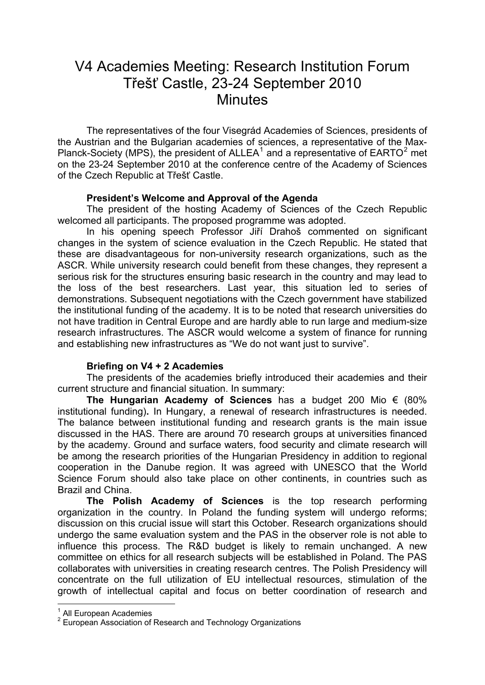## V4 Academies Meeting: Research Institution Forum Třešť Castle, 23-24 September 2010 **Minutes**

 The representatives of the four Visegrád Academies of Sciences, presidents of the Austrian and the Bulgarian academies of sciences, a representative of the Max-Planck-Society (MPS), the president of ALLEA<sup>1</sup> and a representative of EARTO<sup>2</sup> met on the 23-24 September 2010 at the conference centre of the Academy of Sciences of the Czech Republic at Třešť Castle.

## **President's Welcome and Approval o[f](#page-0-0) the Agenda**

The president of the hosting Academy of Sciences of the Czech Republic welcomed all participants. The proposed programme was adopted.

 In his opening speech Professor Jiří Drahoš commented on significant changes in the system of science evaluation in the Czech Republic. He stated that these are disadvantageous for non-university research organizations, such as the ASCR. While university research could benefit from these changes, they represent a serious risk for the structures ensuring basic research in the country and may lead to the loss of the best researchers. Last year, this situation led to series of demonstrations. Subsequent negotiations with the Czech government have stabilized the institutional funding of the academy. It is to be noted that research universities do not have tradition in Central Europe and are hardly able to run large and medium-size research infrastructures. The ASCR would welcome a system of finance for running and establishing new infrastructures as "We do not want just to survive".

## **Briefing on V4 + 2 Academies**

The presidents of the academies briefly introduced their academies and their current structure and financial situation. In summary:

**The Hungarian Academy of Sciences** has a budget 200 Mio € (80% institutional funding)**.** In Hungary, a renewal of research infrastructures is needed. The balance between institutional funding and research grants is the main issue discussed in the HAS. There are around 70 research groups at universities financed by the academy. Ground and surface waters, food security and climate research will be among the research priorities of the Hungarian Presidency in addition to regional cooperation in the Danube region. It was agreed with UNESCO that the World Science Forum should also take place on other continents, in countries such as Brazil and China.

**The Polish Academy of Sciences** is the top research performing organization in the country. In Poland the funding system will undergo reforms; discussion on this crucial issue will start this October. Research organizations should undergo the same evaluation system and the PAS in the observer role is not able to influence this process. The R&D budget is likely to remain unchanged. A new committee on ethics for all research subjects will be established in Poland. The PAS collaborates with universities in creating research centres. The Polish Presidency will concentrate on the full utilization of EU intellectual resources, stimulation of the growth of intellectual capital and focus on better coordination of research and

1

<sup>&</sup>lt;sup>1</sup> All European Academies

<span id="page-0-0"></span> $2^{2}$  European Association of Research and Technology Organizations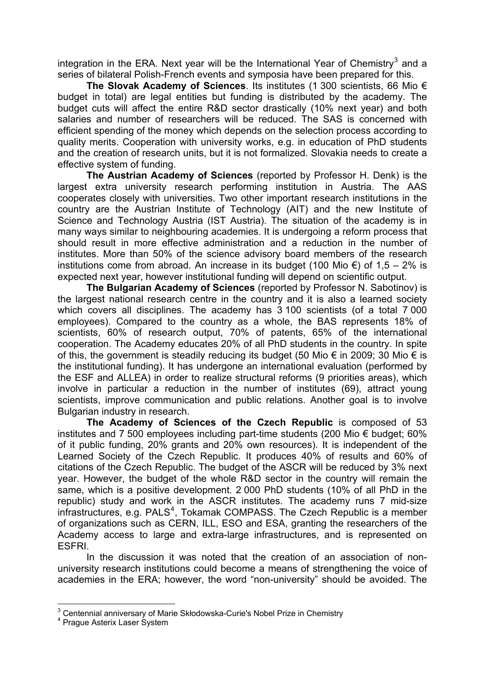integration in the ERA. Next year will be the International Year of Chemistry<sup>3</sup> and a series of bilateral Polish-French events and symposia have been prepared for this.

**The Slovak Academy of Sciences**. Its institutes (1 300 scientists, 66 Mio € budget in total) are legal entities but funding is distributed by the acade[my](#page-1-0). The budget cuts will affect the entire R&D sector drastically (10% next year) and both salaries and number of researchers will be reduced. The SAS is concerned with efficient spending of the money which depends on the selection process according to quality merits. Cooperation with university works, e.g. in education of PhD students and the creation of research units, but it is not formalized. Slovakia needs to create a effective system of funding.

**The Austrian Academy of Sciences** (reported by Professor H. Denk) is the largest extra university research performing institution in Austria. The AAS cooperates closely with universities. Two other important research institutions in the country are the Austrian Institute of Technology (AIT) and the new Institute of Science and Technology Austria (IST Austria). The situation of the academy is in many ways similar to neighbouring academies. It is undergoing a reform process that should result in more effective administration and a reduction in the number of institutes. More than 50% of the science advisory board members of the research institutions come from abroad. An increase in its budget (100 Mio  $\epsilon$ ) of 1,5 – 2% is expected next year, however institutional funding will depend on scientific output.

**The Bulgarian Academy of Sciences** (reported by Professor N. Sabotinov) is the largest national research centre in the country and it is also a learned society which covers all disciplines. The academy has 3 100 scientists (of a total 7 000 employees). Compared to the country as a whole, the BAS represents 18% of scientists, 60% of research output, 70% of patents, 65% of the international cooperation. The Academy educates 20% of all PhD students in the country. In spite of this, the government is steadily reducing its budget (50 Mio  $\epsilon$  in 2009; 30 Mio  $\epsilon$  is the institutional funding). It has undergone an international evaluation (performed by the ESF and ALLEA) in order to realize structural reforms (9 priorities areas), which involve in particular a reduction in the number of institutes (69), attract young scientists, improve communication and public relations. Another goal is to involve Bulgarian industry in research.

**The Academy of Sciences of the Czech Republic** is composed of 53 institutes and 7 500 employees including part-time students (200 Mio € budget; 60% of it public funding, 20% grants and 20% own resources). It is independent of the Learned Society of the Czech Republic. It produces 40% of results and 60% of citations of the Czech Republic. The budget of the ASCR will be reduced by 3% next year. However, the budget of the whole R&D sector in the country will remain the same, which is a positive development. 2 000 PhD students (10% of all PhD in the republic) study and work in the ASCR institutes. The academy runs 7 mid-size infrastructures, e.g. PALS<sup>4</sup>, Tokamak COMPASS. The Czech Republic is a member of organizations such as CERN, ILL, ESO and ESA, granting the researchers of the Academy access to large and extra-large infrastructures, and is represented on ESFRI.

In the discussion [it](#page-1-1) was noted that the creation of an association of nonuniversity research institutions could become a means of strengthening the voice of academies in the ERA; however, the word "non-university" should be avoided. The

<sup>1</sup>  $3$  Centennial anniversary of Marie Skłodowska-Curie's Nobel Prize in Chemistry<br>4 Brogue Actorix Loser System

<span id="page-1-1"></span><span id="page-1-0"></span><sup>&</sup>lt;sup>4</sup> Prague Asterix Laser System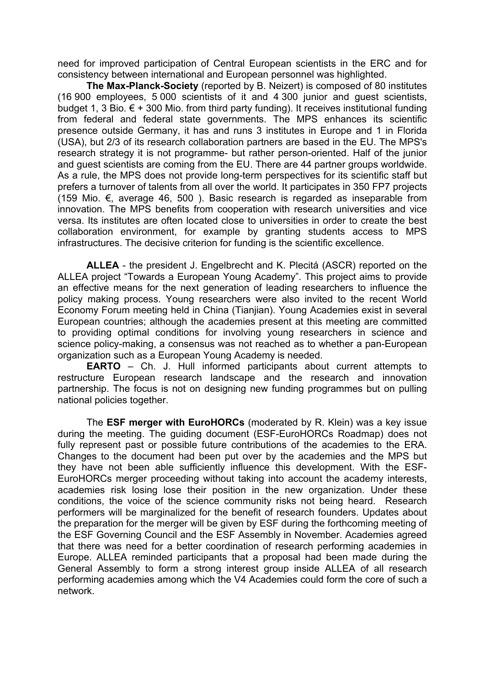need for improved participation of Central European scientists in the ERC and for consistency between international and European personnel was highlighted.

**The Max-Planck-Society** (reported by B. Neizert) is composed of 80 institutes (16 900 employees, 5 000 scientists of it and 4 300 junior and guest scientists, budget 1, 3 Bio.  $\epsilon$  + 300 Mio. from third party funding). It receives institutional funding from federal and federal state governments. The MPS enhances its scientific presence outside Germany, it has and runs 3 institutes in Europe and 1 in Florida (USA), but 2/3 of its research collaboration partners are based in the EU. The MPS's research strategy it is not programme- but rather person-oriented. Half of the junior and guest scientists are coming from the EU. There are 44 partner groups worldwide. As a rule, the MPS does not provide long-term perspectives for its scientific staff but prefers a turnover of talents from all over the world. It participates in 350 FP7 projects (159 Mio.  $€$ , average 46, 500). Basic research is regarded as inseparable from innovation. The MPS benefits from cooperation with research universities and vice versa. Its institutes are often located close to universities in order to create the best collaboration environment, for example by granting students access to MPS infrastructures. The decisive criterion for funding is the scientific excellence.

**ALLEA** - the president J. Engelbrecht and K. Plecitá (ASCR) reported on the ALLEA project "Towards a European Young Academy". This project aims to provide an effective means for the next generation of leading researchers to influence the policy making process. Young researchers were also invited to the recent World Economy Forum meeting held in China (Tianjian). Young Academies exist in several European countries; although the academies present at this meeting are committed to providing optimal conditions for involving young researchers in science and science policy-making, a consensus was not reached as to whether a pan-European organization such as a European Young Academy is needed.

**EARTO** – Ch. J. Hull informed participants about current attempts to restructure European research landscape and the research and innovation partnership. The focus is not on designing new funding programmes but on pulling national policies together.

The **ESF merger with EuroHORCs** (moderated by R. Klein) was a key issue during the meeting. The guiding document (ESF-EuroHORCs Roadmap) does not fully represent past or possible future contributions of the academies to the ERA. Changes to the document had been put over by the academies and the MPS but they have not been able sufficiently influence this development. With the ESF-EuroHORCs merger proceeding without taking into account the academy interests, academies risk losing lose their position in the new organization. Under these conditions, the voice of the science community risks not being heard. Research performers will be marginalized for the benefit of research founders. Updates about the preparation for the merger will be given by ESF during the forthcoming meeting of the ESF Governing Council and the ESF Assembly in November. Academies agreed that there was need for a better coordination of research performing academies in Europe. ALLEA reminded participants that a proposal had been made during the General Assembly to form a strong interest group inside ALLEA of all research performing academies among which the V4 Academies could form the core of such a network.